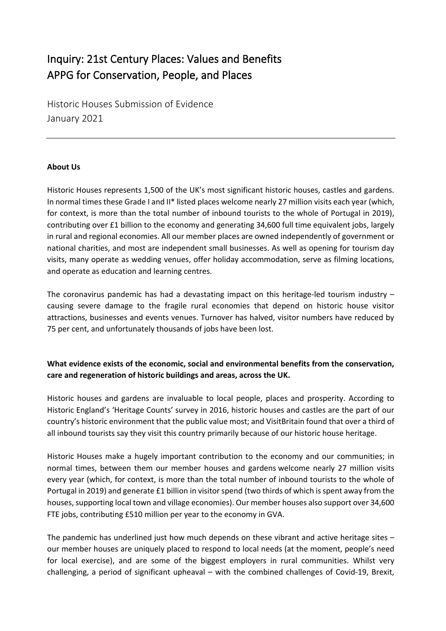# Inquiry: 21st Century Places: Values and Benefits APPG for Conservation, People, and Places

Historic Houses Submission of Evidence January 2021

#### **About Us**

Historic Houses represents 1,500 of the UK's most significant historic houses, castles and gardens. In normal times these Grade I and II\* listed places welcome nearly 27 million visits each year (which, for context, is more than the total number of inbound tourists to the whole of Portugal in 2019), contributing over £1 billion to the economy and generating 34,600 full time equivalent jobs, largely in rural and regional economies. All our member places are owned independently of government or national charities, and most are independent small businesses. As well as opening for tourism day visits, many operate as wedding venues, offer holiday accommodation, serve as filming locations, and operate as education and learning centres.

The coronavirus pandemic has had a devastating impact on this heritage-led tourism industry – causing severe damage to the fragile rural economies that depend on historic house visitor attractions, businesses and events venues. Turnover has halved, visitor numbers have reduced by 75 per cent, and unfortunately thousands of jobs have been lost.

### **What evidence exists of the economic, social and environmental benefits from the conservation, care and regeneration of historic buildings and areas, across the UK.**

Historic houses and gardens are invaluable to local people, places and prosperity. According to Historic England's 'Heritage Counts' survey in 2016, historic houses and castles are the part of our country's historic environment that the public value most; and VisitBritain found that over a third of all inbound tourists say they visit this country primarily because of our historic house heritage.

Historic Houses make a hugely important contribution to the economy and our communities; in normal times, between them our member houses and gardens welcome nearly 27 million visits every year (which, for context, is more than the total number of inbound tourists to the whole of Portugal in 2019) and generate £1 billion in visitor spend (two thirds of which is spent away from the houses, supporting local town and village economies). Our member houses also support over 34,600 FTE jobs, contributing £510 million per year to the economy in GVA.

The pandemic has underlined just how much depends on these vibrant and active heritage sites – our member houses are uniquely placed to respond to local needs (at the moment, people's need for local exercise), and are some of the biggest employers in rural communities. Whilst very challenging, a period of significant upheaval – with the combined challenges of Covid-19, Brexit,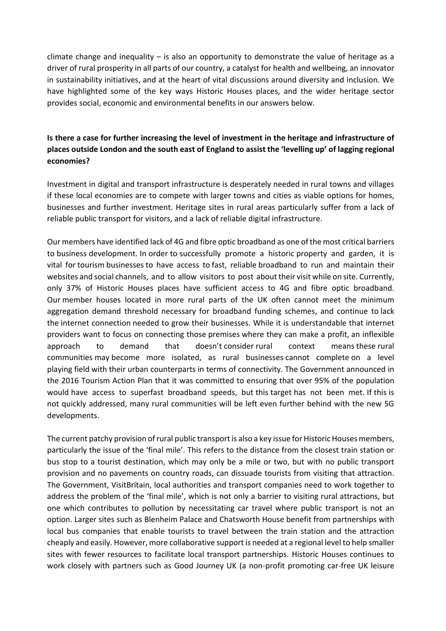climate change and inequality  $-$  is also an opportunity to demonstrate the value of heritage as a driver of rural prosperity in all parts of our country, a catalyst for health and wellbeing, an innovator in sustainability initiatives, and at the heart of vital discussions around diversity and inclusion. We have highlighted some of the key ways Historic Houses places, and the wider heritage sector provides social, economic and environmental benefits in our answers below.

## **Is there a case for further increasing the level of investment in the heritage and infrastructure of places outside London and the south east of England to assist the 'levelling up' of lagging regional economies?**

Investment in digital and transport infrastructure is desperately needed in rural towns and villages if these local economies are to compete with larger towns and cities as viable options for homes, businesses and further investment. Heritage sites in rural areas particularly suffer from a lack of reliable public transport for visitors, and a lack of reliable digital infrastructure.

Our members have identified lack of 4G and fibre optic broadband as one of the most critical barriers to business development. In order to successfully promote a historic property and garden, it is vital for tourism businesses to have access to fast, reliable broadband to run and maintain their websites and social channels, and to allow visitors to post about their visit while on site. Currently, only 37% of Historic Houses places have sufficient access to 4G and fibre optic broadband. Our member houses located in more rural parts of the UK often cannot meet the minimum aggregation demand threshold necessary for broadband funding schemes, and continue to lack the internet connection needed to grow their businesses. While it is understandable that internet providers want to focus on connecting those premises where they can make a profit, an inflexible approach to demand that doesn't consider rural context means these rural communities may become more isolated, as rural businesses cannot complete on a level playing field with their urban counterparts in terms of connectivity. The Government announced in the 2016 Tourism Action Plan that it was committed to ensuring that over 95% of the population would have access to superfast broadband speeds, but this target has not been met. If this is not quickly addressed, many rural communities will be left even further behind with the new 5G developments.

The current patchy provision of rural public transport is also a key issue for Historic Houses members, particularly the issue of the 'final mile'. This refers to the distance from the closest train station or bus stop to a tourist destination, which may only be a mile or two, but with no public transport provision and no pavements on country roads, can dissuade tourists from visiting that attraction. The Government, VisitBritain, local authorities and transport companies need to work together to address the problem of the 'final mile', which is not only a barrier to visiting rural attractions, but one which contributes to pollution by necessitating car travel where public transport is not an option. Larger sites such as Blenheim Palace and Chatsworth House benefit from partnerships with local bus companies that enable tourists to travel between the train station and the attraction cheaply and easily. However, more collaborative support is needed at a regional level to help smaller sites with fewer resources to facilitate local transport partnerships. Historic Houses continues to work closely with partners such as Good Journey UK (a non-profit promoting car-free UK leisure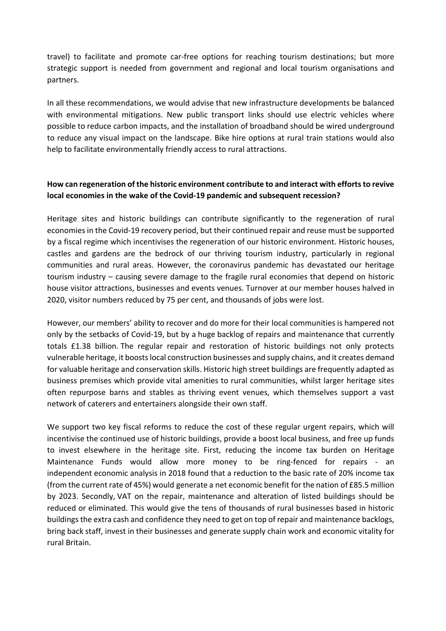travel) to facilitate and promote car-free options for reaching tourism destinations; but more strategic support is needed from government and regional and local tourism organisations and partners.

In all these recommendations, we would advise that new infrastructure developments be balanced with environmental mitigations. New public transport links should use electric vehicles where possible to reduce carbon impacts, and the installation of broadband should be wired underground to reduce any visual impact on the landscape. Bike hire options at rural train stations would also help to facilitate environmentally friendly access to rural attractions.

### **How can regeneration of the historic environment contribute to and interact with efforts to revive local economies in the wake of the Covid-19 pandemic and subsequent recession?**

Heritage sites and historic buildings can contribute significantly to the regeneration of rural economies in the Covid-19 recovery period, but their continued repair and reuse must be supported by a fiscal regime which incentivises the regeneration of our historic environment. Historic houses, castles and gardens are the bedrock of our thriving tourism industry, particularly in regional communities and rural areas. However, the coronavirus pandemic has devastated our heritage tourism industry – causing severe damage to the fragile rural economies that depend on historic house visitor attractions, businesses and events venues. Turnover at our member houses halved in 2020, visitor numbers reduced by 75 per cent, and thousands of jobs were lost.

However, our members' ability to recover and do more for their local communities is hampered not only by the setbacks of Covid-19, but by a huge backlog of repairs and maintenance that currently totals £1.38 billion. The regular repair and restoration of historic buildings not only protects vulnerable heritage, it boosts local construction businesses and supply chains, and it creates demand for valuable heritage and conservation skills. Historic high street buildings are frequently adapted as business premises which provide vital amenities to rural communities, whilst larger heritage sites often repurpose barns and stables as thriving event venues, which themselves support a vast network of caterers and entertainers alongside their own staff.

We support two key fiscal reforms to reduce the cost of these regular urgent repairs, which will incentivise the continued use of historic buildings, provide a boost local business, and free up funds to invest elsewhere in the heritage site. First, reducing the income tax burden on Heritage Maintenance Funds would allow more money to be ring-fenced for repairs - an independent economic analysis in 2018 found that a reduction to the basic rate of 20% income tax (from the current rate of 45%) would generate a net economic benefit for the nation of £85.5 million by 2023. Secondly, VAT on the repair, maintenance and alteration of listed buildings should be reduced or eliminated. This would give the tens of thousands of rural businesses based in historic buildings the extra cash and confidence they need to get on top of repair and maintenance backlogs, bring back staff, invest in their businesses and generate supply chain work and economic vitality for rural Britain.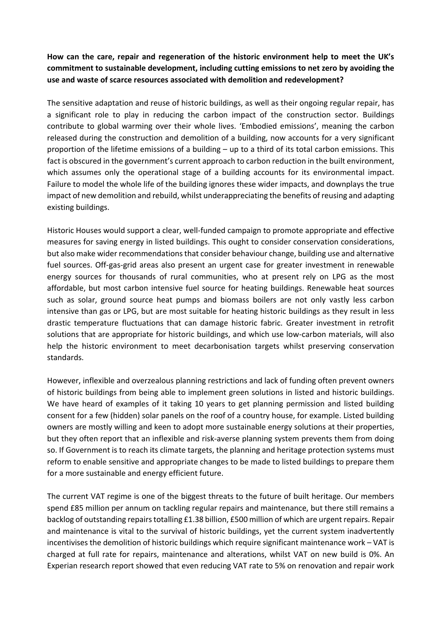**How can the care, repair and regeneration of the historic environment help to meet the UK's commitment to sustainable development, including cutting emissions to net zero by avoiding the use and waste of scarce resources associated with demolition and redevelopment?** 

The sensitive adaptation and reuse of historic buildings, as well as their ongoing regular repair, has a significant role to play in reducing the carbon impact of the construction sector. Buildings contribute to global warming over their whole lives. 'Embodied emissions', meaning the carbon released during the construction and demolition of a building, now accounts for a very significant proportion of the lifetime emissions of a building – up to a third of its total carbon emissions. This fact is obscured in the government's current approach to carbon reduction in the built environment, which assumes only the operational stage of a building accounts for its environmental impact. Failure to model the whole life of the building ignores these wider impacts, and downplays the true impact of new demolition and rebuild, whilst underappreciating the benefits of reusing and adapting existing buildings.

Historic Houses would support a clear, well-funded campaign to promote appropriate and effective measures for saving energy in listed buildings. This ought to consider conservation considerations, but also make wider recommendations that consider behaviour change, building use and alternative fuel sources. Off-gas-grid areas also present an urgent case for greater investment in renewable energy sources for thousands of rural communities, who at present rely on LPG as the most affordable, but most carbon intensive fuel source for heating buildings. Renewable heat sources such as solar, ground source heat pumps and biomass boilers are not only vastly less carbon intensive than gas or LPG, but are most suitable for heating historic buildings as they result in less drastic temperature fluctuations that can damage historic fabric. Greater investment in retrofit solutions that are appropriate for historic buildings, and which use low-carbon materials, will also help the historic environment to meet decarbonisation targets whilst preserving conservation standards.

However, inflexible and overzealous planning restrictions and lack of funding often prevent owners of historic buildings from being able to implement green solutions in listed and historic buildings. We have heard of examples of it taking 10 years to get planning permission and listed building consent for a few (hidden) solar panels on the roof of a country house, for example. Listed building owners are mostly willing and keen to adopt more sustainable energy solutions at their properties, but they often report that an inflexible and risk-averse planning system prevents them from doing so. If Government is to reach its climate targets, the planning and heritage protection systems must reform to enable sensitive and appropriate changes to be made to listed buildings to prepare them for a more sustainable and energy efficient future.

The current VAT regime is one of the biggest threats to the future of built heritage. Our members spend £85 million per annum on tackling regular repairs and maintenance, but there still remains a backlog of outstanding repairs totalling £1.38 billion, £500 million of which are urgent repairs. Repair and maintenance is vital to the survival of historic buildings, yet the current system inadvertently incentivises the demolition of historic buildings which require significant maintenance work – VAT is charged at full rate for repairs, maintenance and alterations, whilst VAT on new build is 0%. An Experian research report showed that even reducing VAT rate to 5% on renovation and repair work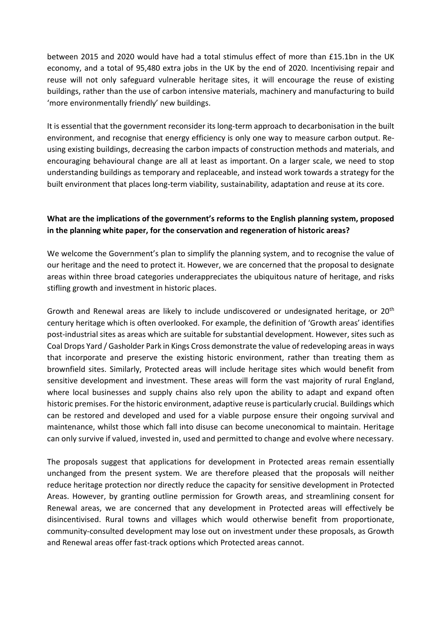between 2015 and 2020 would have had a total stimulus effect of more than £15.1bn in the UK economy, and a total of 95,480 extra jobs in the UK by the end of 2020. Incentivising repair and reuse will not only safeguard vulnerable heritage sites, it will encourage the reuse of existing buildings, rather than the use of carbon intensive materials, machinery and manufacturing to build 'more environmentally friendly' new buildings.

It is essential that the government reconsider its long-term approach to decarbonisation in the built environment, and recognise that energy efficiency is only one way to measure carbon output. Reusing existing buildings, decreasing the carbon impacts of construction methods and materials, and encouraging behavioural change are all at least as important. On a larger scale, we need to stop understanding buildings as temporary and replaceable, and instead work towards a strategy for the built environment that places long-term viability, sustainability, adaptation and reuse at its core.

#### **What are the implications of the government's reforms to the English planning system, proposed in the planning white paper, for the conservation and regeneration of historic areas?**

We welcome the Government's plan to simplify the planning system, and to recognise the value of our heritage and the need to protect it. However, we are concerned that the proposal to designate areas within three broad categories underappreciates the ubiquitous nature of heritage, and risks stifling growth and investment in historic places.

Growth and Renewal areas are likely to include undiscovered or undesignated heritage, or  $20<sup>th</sup>$ century heritage which is often overlooked. For example, the definition of 'Growth areas' identifies post-industrial sites as areas which are suitable for substantial development. However, sites such as Coal Drops Yard / Gasholder Park in Kings Cross demonstrate the value of redeveloping areas in ways that incorporate and preserve the existing historic environment, rather than treating them as brownfield sites. Similarly, Protected areas will include heritage sites which would benefit from sensitive development and investment. These areas will form the vast majority of rural England, where local businesses and supply chains also rely upon the ability to adapt and expand often historic premises. For the historic environment, adaptive reuse is particularly crucial. Buildings which can be restored and developed and used for a viable purpose ensure their ongoing survival and maintenance, whilst those which fall into disuse can become uneconomical to maintain. Heritage can only survive if valued, invested in, used and permitted to change and evolve where necessary.

The proposals suggest that applications for development in Protected areas remain essentially unchanged from the present system. We are therefore pleased that the proposals will neither reduce heritage protection nor directly reduce the capacity for sensitive development in Protected Areas. However, by granting outline permission for Growth areas, and streamlining consent for Renewal areas, we are concerned that any development in Protected areas will effectively be disincentivised. Rural towns and villages which would otherwise benefit from proportionate, community-consulted development may lose out on investment under these proposals, as Growth and Renewal areas offer fast-track options which Protected areas cannot.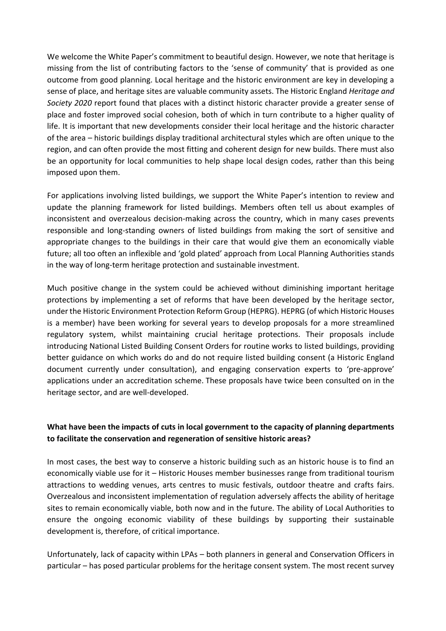We welcome the White Paper's commitment to beautiful design. However, we note that heritage is missing from the list of contributing factors to the 'sense of community' that is provided as one outcome from good planning. Local heritage and the historic environment are key in developing a sense of place, and heritage sites are valuable community assets. The Historic England *Heritage and Society 2020* report found that places with a distinct historic character provide a greater sense of place and foster improved social cohesion, both of which in turn contribute to a higher quality of life. It is important that new developments consider their local heritage and the historic character of the area – historic buildings display traditional architectural styles which are often unique to the region, and can often provide the most fitting and coherent design for new builds. There must also be an opportunity for local communities to help shape local design codes, rather than this being imposed upon them.

For applications involving listed buildings, we support the White Paper's intention to review and update the planning framework for listed buildings. Members often tell us about examples of inconsistent and overzealous decision-making across the country, which in many cases prevents responsible and long-standing owners of listed buildings from making the sort of sensitive and appropriate changes to the buildings in their care that would give them an economically viable future; all too often an inflexible and 'gold plated' approach from Local Planning Authorities stands in the way of long-term heritage protection and sustainable investment.

Much positive change in the system could be achieved without diminishing important heritage protections by implementing a set of reforms that have been developed by the heritage sector, under the Historic Environment Protection Reform Group (HEPRG). HEPRG (of which Historic Houses is a member) have been working for several years to develop proposals for a more streamlined regulatory system, whilst maintaining crucial heritage protections. Their proposals include introducing National Listed Building Consent Orders for routine works to listed buildings, providing better guidance on which works do and do not require listed building consent (a Historic England document currently under consultation), and engaging conservation experts to 'pre-approve' applications under an accreditation scheme. These proposals have twice been consulted on in the heritage sector, and are well-developed.

#### **What have been the impacts of cuts in local government to the capacity of planning departments to facilitate the conservation and regeneration of sensitive historic areas?**

In most cases, the best way to conserve a historic building such as an historic house is to find an economically viable use for it – Historic Houses member businesses range from traditional tourism attractions to wedding venues, arts centres to music festivals, outdoor theatre and crafts fairs. Overzealous and inconsistent implementation of regulation adversely affects the ability of heritage sites to remain economically viable, both now and in the future. The ability of Local Authorities to ensure the ongoing economic viability of these buildings by supporting their sustainable development is, therefore, of critical importance.

Unfortunately, lack of capacity within LPAs – both planners in general and Conservation Officers in particular – has posed particular problems for the heritage consent system. The most recent survey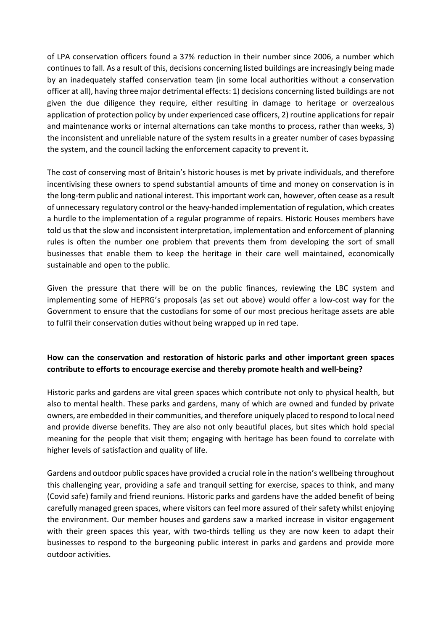of LPA conservation officers found a 37% reduction in their number since 2006, a number which continues to fall. As a result of this, decisions concerning listed buildings are increasingly being made by an inadequately staffed conservation team (in some local authorities without a conservation officer at all), having three major detrimental effects: 1) decisions concerning listed buildings are not given the due diligence they require, either resulting in damage to heritage or overzealous application of protection policy by under experienced case officers, 2) routine applications for repair and maintenance works or internal alternations can take months to process, rather than weeks, 3) the inconsistent and unreliable nature of the system results in a greater number of cases bypassing the system, and the council lacking the enforcement capacity to prevent it.

The cost of conserving most of Britain's historic houses is met by private individuals, and therefore incentivising these owners to spend substantial amounts of time and money on conservation is in the long-term public and national interest. This important work can, however, often cease as a result of unnecessary regulatory control or the heavy-handed implementation of regulation, which creates a hurdle to the implementation of a regular programme of repairs. Historic Houses members have told us that the slow and inconsistent interpretation, implementation and enforcement of planning rules is often the number one problem that prevents them from developing the sort of small businesses that enable them to keep the heritage in their care well maintained, economically sustainable and open to the public.

Given the pressure that there will be on the public finances, reviewing the LBC system and implementing some of HEPRG's proposals (as set out above) would offer a low-cost way for the Government to ensure that the custodians for some of our most precious heritage assets are able to fulfil their conservation duties without being wrapped up in red tape.

### **How can the conservation and restoration of historic parks and other important green spaces contribute to efforts to encourage exercise and thereby promote health and well-being?**

Historic parks and gardens are vital green spaces which contribute not only to physical health, but also to mental health. These parks and gardens, many of which are owned and funded by private owners, are embedded in their communities, and therefore uniquely placed to respond to local need and provide diverse benefits. They are also not only beautiful places, but sites which hold special meaning for the people that visit them; engaging with heritage has been found to correlate with higher levels of satisfaction and quality of life.

Gardens and outdoor public spaces have provided a crucial role in the nation's wellbeing throughout this challenging year, providing a safe and tranquil setting for exercise, spaces to think, and many (Covid safe) family and friend reunions. Historic parks and gardens have the added benefit of being carefully managed green spaces, where visitors can feel more assured of their safety whilst enjoying the environment. Our member houses and gardens saw a marked increase in visitor engagement with their green spaces this year, with two-thirds telling us they are now keen to adapt their businesses to respond to the burgeoning public interest in parks and gardens and provide more outdoor activities.